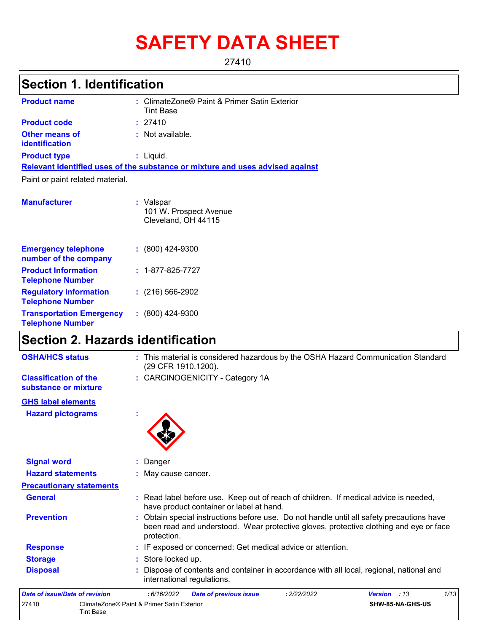# **SAFETY DATA SHEET**

27410

# **Section 1. Identification**

| <b>Product name</b>                                 | : ClimateZone® Paint & Primer Satin Exterior<br><b>Tint Base</b>              |
|-----------------------------------------------------|-------------------------------------------------------------------------------|
| <b>Product code</b>                                 | : 27410                                                                       |
| Other means of<br><b>identification</b>             | $:$ Not available.                                                            |
| <b>Product type</b>                                 | $:$ Liquid.                                                                   |
|                                                     | Relevant identified uses of the substance or mixture and uses advised against |
| Paint or paint related material.                    |                                                                               |
| <b>Manufacturer</b>                                 | : Valspar<br>101 W. Prospect Avenue<br>Cleveland, OH 44115                    |
| <b>Emergency telephone</b><br>number of the company | $: (800)$ 424-9300                                                            |
| <b>Product Information</b>                          | $: 1 - 877 - 825 - 7727$                                                      |

| <b>Product Information</b><br><b>Telephone Number</b>      | $: 1 - 877 - 825 - 7727$ |
|------------------------------------------------------------|--------------------------|
| <b>Regulatory Information</b><br><b>Telephone Number</b>   | $: (216) 566 - 2902$     |
| <b>Transportation Emergency</b><br><b>Telephone Number</b> | $(800)$ 424-9300         |

### **Section 2. Hazards identification**

| <b>OSHA/HCS status</b>                               | : This material is considered hazardous by the OSHA Hazard Communication Standard<br>(29 CFR 1910.1200).                                                                                          |  |  |  |
|------------------------------------------------------|---------------------------------------------------------------------------------------------------------------------------------------------------------------------------------------------------|--|--|--|
| <b>Classification of the</b><br>substance or mixture | : CARCINOGENICITY - Category 1A                                                                                                                                                                   |  |  |  |
| <b>GHS label elements</b>                            |                                                                                                                                                                                                   |  |  |  |
| <b>Hazard pictograms</b>                             |                                                                                                                                                                                                   |  |  |  |
| <b>Signal word</b>                                   | : Danger                                                                                                                                                                                          |  |  |  |
| <b>Hazard statements</b>                             | : May cause cancer.                                                                                                                                                                               |  |  |  |
| <b>Precautionary statements</b>                      |                                                                                                                                                                                                   |  |  |  |
| <b>General</b>                                       | : Read label before use. Keep out of reach of children. If medical advice is needed,<br>have product container or label at hand.                                                                  |  |  |  |
| <b>Prevention</b>                                    | : Obtain special instructions before use. Do not handle until all safety precautions have<br>been read and understood. Wear protective gloves, protective clothing and eye or face<br>protection. |  |  |  |
| <b>Response</b>                                      | : IF exposed or concerned: Get medical advice or attention.                                                                                                                                       |  |  |  |
| <b>Storage</b>                                       | Store locked up.                                                                                                                                                                                  |  |  |  |
| <b>Disposal</b>                                      | Dispose of contents and container in accordance with all local, regional, national and<br>international regulations.                                                                              |  |  |  |
| Date of issue/Date of revision                       | 1/13<br>: 6/16/2022<br><b>Date of previous issue</b><br>: 2/22/2022<br>Version : 13                                                                                                               |  |  |  |
| 27410<br><b>Tint Base</b>                            | ClimateZone® Paint & Primer Satin Exterior<br>SHW-85-NA-GHS-US                                                                                                                                    |  |  |  |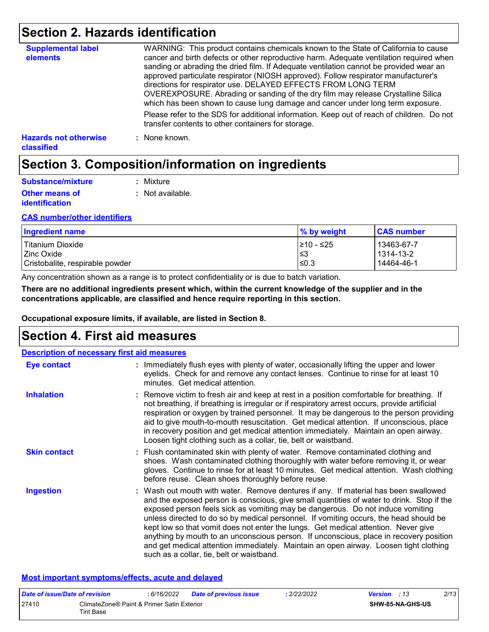### **Section 2. Hazards identification**

| <b>Supplemental label</b><br>elements             | WARNING: This product contains chemicals known to the State of California to cause<br>cancer and birth defects or other reproductive harm. Adequate ventilation required when<br>sanding or abrading the dried film. If Adequate ventilation cannot be provided wear an<br>approved particulate respirator (NIOSH approved). Follow respirator manufacturer's<br>directions for respirator use. DELAYED EFFECTS FROM LONG TERM<br>OVEREXPOSURE. Abrading or sanding of the dry film may release Crystalline Silica<br>which has been shown to cause lung damage and cancer under long term exposure. |
|---------------------------------------------------|------------------------------------------------------------------------------------------------------------------------------------------------------------------------------------------------------------------------------------------------------------------------------------------------------------------------------------------------------------------------------------------------------------------------------------------------------------------------------------------------------------------------------------------------------------------------------------------------------|
|                                                   | Please refer to the SDS for additional information. Keep out of reach of children. Do not<br>transfer contents to other containers for storage.                                                                                                                                                                                                                                                                                                                                                                                                                                                      |
| <b>Hazards not otherwise</b><br><b>classified</b> | : None known.                                                                                                                                                                                                                                                                                                                                                                                                                                                                                                                                                                                        |

### **Section 3. Composition/information on ingredients**

| Substance/mixture                              | : Mixture        |
|------------------------------------------------|------------------|
| <b>Other means of</b><br><i>identification</i> | : Not available. |

#### **CAS number/other identifiers**

| Ingredient name                 | $\%$ by weight | <b>CAS number</b> |
|---------------------------------|----------------|-------------------|
| Titanium Dioxide                | I≥10 - ≤25     | 13463-67-7        |
| l Zinc Oxide                    | 3≥ا            | 1314-13-2         |
| Cristobalite, respirable powder | l≤0.3          | 14464-46-1        |

Any concentration shown as a range is to protect confidentiality or is due to batch variation.

**There are no additional ingredients present which, within the current knowledge of the supplier and in the concentrations applicable, are classified and hence require reporting in this section.**

**Occupational exposure limits, if available, are listed in Section 8.**

### **Section 4. First aid measures**

| <b>Description of necessary first aid measures</b> |                                                                                                                                                                                                                                                                                                                                                                                                                                                                                                                                                                                                                                                                                   |  |  |
|----------------------------------------------------|-----------------------------------------------------------------------------------------------------------------------------------------------------------------------------------------------------------------------------------------------------------------------------------------------------------------------------------------------------------------------------------------------------------------------------------------------------------------------------------------------------------------------------------------------------------------------------------------------------------------------------------------------------------------------------------|--|--|
| Eye contact                                        | : Immediately flush eyes with plenty of water, occasionally lifting the upper and lower<br>eyelids. Check for and remove any contact lenses. Continue to rinse for at least 10<br>minutes. Get medical attention.                                                                                                                                                                                                                                                                                                                                                                                                                                                                 |  |  |
| <b>Inhalation</b>                                  | : Remove victim to fresh air and keep at rest in a position comfortable for breathing. If<br>not breathing, if breathing is irregular or if respiratory arrest occurs, provide artificial<br>respiration or oxygen by trained personnel. It may be dangerous to the person providing<br>aid to give mouth-to-mouth resuscitation. Get medical attention. If unconscious, place<br>in recovery position and get medical attention immediately. Maintain an open airway.<br>Loosen tight clothing such as a collar, tie, belt or waistband.                                                                                                                                         |  |  |
| <b>Skin contact</b>                                | : Flush contaminated skin with plenty of water. Remove contaminated clothing and<br>shoes. Wash contaminated clothing thoroughly with water before removing it, or wear<br>gloves. Continue to rinse for at least 10 minutes. Get medical attention. Wash clothing<br>before reuse. Clean shoes thoroughly before reuse.                                                                                                                                                                                                                                                                                                                                                          |  |  |
| <b>Ingestion</b>                                   | : Wash out mouth with water. Remove dentures if any. If material has been swallowed<br>and the exposed person is conscious, give small quantities of water to drink. Stop if the<br>exposed person feels sick as vomiting may be dangerous. Do not induce vomiting<br>unless directed to do so by medical personnel. If vomiting occurs, the head should be<br>kept low so that vomit does not enter the lungs. Get medical attention. Never give<br>anything by mouth to an unconscious person. If unconscious, place in recovery position<br>and get medical attention immediately. Maintain an open airway. Loosen tight clothing<br>such as a collar, tie, belt or waistband. |  |  |

#### **Most important symptoms/effects, acute and delayed**

| Date of issue/Date of revision |                                                         | :6/16/2022 | <b>Date of previous issue</b> | : 2/22/2022 | <b>Version</b> : 13 |                  | 2/13 |
|--------------------------------|---------------------------------------------------------|------------|-------------------------------|-------------|---------------------|------------------|------|
| 27410                          | ClimateZone® Paint & Primer Satin Exterior<br>Tint Base |            |                               |             |                     | SHW-85-NA-GHS-US |      |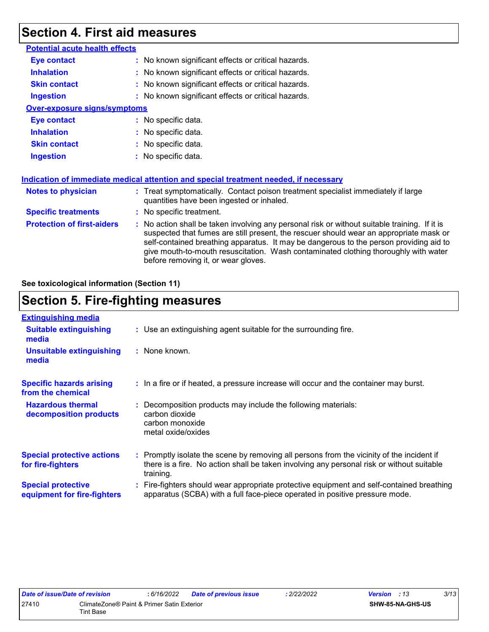### **Section 4. First aid measures**

| : No known significant effects or critical hazards.                                                                                                                                                                                                                                                                                                                                                             |
|-----------------------------------------------------------------------------------------------------------------------------------------------------------------------------------------------------------------------------------------------------------------------------------------------------------------------------------------------------------------------------------------------------------------|
| : No known significant effects or critical hazards.                                                                                                                                                                                                                                                                                                                                                             |
| : No known significant effects or critical hazards.                                                                                                                                                                                                                                                                                                                                                             |
| : No known significant effects or critical hazards.                                                                                                                                                                                                                                                                                                                                                             |
| <b>Over-exposure signs/symptoms</b>                                                                                                                                                                                                                                                                                                                                                                             |
| : No specific data.                                                                                                                                                                                                                                                                                                                                                                                             |
| : No specific data.                                                                                                                                                                                                                                                                                                                                                                                             |
| : No specific data.                                                                                                                                                                                                                                                                                                                                                                                             |
| : No specific data.                                                                                                                                                                                                                                                                                                                                                                                             |
| Indication of immediate medical attention and special treatment needed, if necessary                                                                                                                                                                                                                                                                                                                            |
| : Treat symptomatically. Contact poison treatment specialist immediately if large<br>quantities have been ingested or inhaled.                                                                                                                                                                                                                                                                                  |
| : No specific treatment.                                                                                                                                                                                                                                                                                                                                                                                        |
| : No action shall be taken involving any personal risk or without suitable training. If it is<br>suspected that fumes are still present, the rescuer should wear an appropriate mask or<br>self-contained breathing apparatus. It may be dangerous to the person providing aid to<br>give mouth-to-mouth resuscitation. Wash contaminated clothing thoroughly with water<br>before removing it, or wear gloves. |
|                                                                                                                                                                                                                                                                                                                                                                                                                 |

**See toxicological information (Section 11)**

### **Section 5. Fire-fighting measures**

| <b>Extinguishing media</b>                               |                                                                                                                                                                                                     |
|----------------------------------------------------------|-----------------------------------------------------------------------------------------------------------------------------------------------------------------------------------------------------|
| <b>Suitable extinguishing</b><br>media                   | : Use an extinguishing agent suitable for the surrounding fire.                                                                                                                                     |
| <b>Unsuitable extinguishing</b><br>media                 | : None known.                                                                                                                                                                                       |
| <b>Specific hazards arising</b><br>from the chemical     | : In a fire or if heated, a pressure increase will occur and the container may burst.                                                                                                               |
| <b>Hazardous thermal</b><br>decomposition products       | Decomposition products may include the following materials:<br>carbon dioxide<br>carbon monoxide<br>metal oxide/oxides                                                                              |
| <b>Special protective actions</b><br>for fire-fighters   | : Promptly isolate the scene by removing all persons from the vicinity of the incident if<br>there is a fire. No action shall be taken involving any personal risk or without suitable<br>training. |
| <b>Special protective</b><br>equipment for fire-fighters | Fire-fighters should wear appropriate protective equipment and self-contained breathing<br>apparatus (SCBA) with a full face-piece operated in positive pressure mode.                              |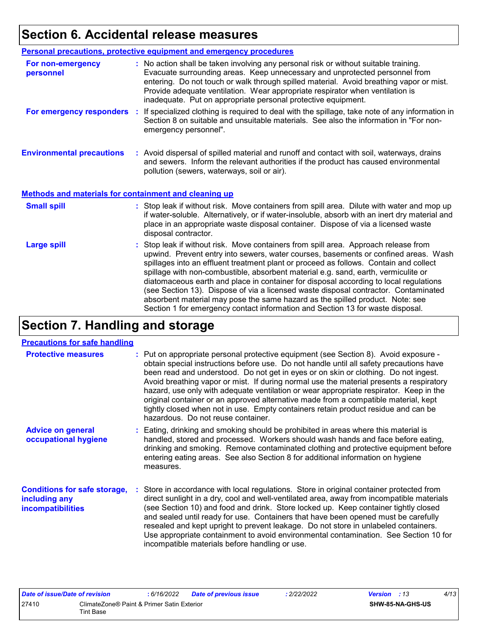# **Section 6. Accidental release measures**

|                                                              | <b>Personal precautions, protective equipment and emergency procedures</b>                                                                                                                                                                                                                                                                                                                                                                                                                                                                                                                                                                                                                                   |
|--------------------------------------------------------------|--------------------------------------------------------------------------------------------------------------------------------------------------------------------------------------------------------------------------------------------------------------------------------------------------------------------------------------------------------------------------------------------------------------------------------------------------------------------------------------------------------------------------------------------------------------------------------------------------------------------------------------------------------------------------------------------------------------|
| For non-emergency<br>personnel                               | : No action shall be taken involving any personal risk or without suitable training.<br>Evacuate surrounding areas. Keep unnecessary and unprotected personnel from<br>entering. Do not touch or walk through spilled material. Avoid breathing vapor or mist.<br>Provide adequate ventilation. Wear appropriate respirator when ventilation is<br>inadequate. Put on appropriate personal protective equipment.                                                                                                                                                                                                                                                                                             |
| For emergency responders                                     | : If specialized clothing is required to deal with the spillage, take note of any information in<br>Section 8 on suitable and unsuitable materials. See also the information in "For non-<br>emergency personnel".                                                                                                                                                                                                                                                                                                                                                                                                                                                                                           |
| <b>Environmental precautions</b>                             | : Avoid dispersal of spilled material and runoff and contact with soil, waterways, drains<br>and sewers. Inform the relevant authorities if the product has caused environmental<br>pollution (sewers, waterways, soil or air).                                                                                                                                                                                                                                                                                                                                                                                                                                                                              |
| <b>Methods and materials for containment and cleaning up</b> |                                                                                                                                                                                                                                                                                                                                                                                                                                                                                                                                                                                                                                                                                                              |
| <b>Small spill</b>                                           | : Stop leak if without risk. Move containers from spill area. Dilute with water and mop up<br>if water-soluble. Alternatively, or if water-insoluble, absorb with an inert dry material and<br>place in an appropriate waste disposal container. Dispose of via a licensed waste<br>disposal contractor.                                                                                                                                                                                                                                                                                                                                                                                                     |
| <b>Large spill</b>                                           | : Stop leak if without risk. Move containers from spill area. Approach release from<br>upwind. Prevent entry into sewers, water courses, basements or confined areas. Wash<br>spillages into an effluent treatment plant or proceed as follows. Contain and collect<br>spillage with non-combustible, absorbent material e.g. sand, earth, vermiculite or<br>diatomaceous earth and place in container for disposal according to local regulations<br>(see Section 13). Dispose of via a licensed waste disposal contractor. Contaminated<br>absorbent material may pose the same hazard as the spilled product. Note: see<br>Section 1 for emergency contact information and Section 13 for waste disposal. |

# **Section 7. Handling and storage**

#### **Precautions for safe handling**

| <b>Protective measures</b>                                                       | : Put on appropriate personal protective equipment (see Section 8). Avoid exposure -<br>obtain special instructions before use. Do not handle until all safety precautions have<br>been read and understood. Do not get in eyes or on skin or clothing. Do not ingest.<br>Avoid breathing vapor or mist. If during normal use the material presents a respiratory<br>hazard, use only with adequate ventilation or wear appropriate respirator. Keep in the<br>original container or an approved alternative made from a compatible material, kept<br>tightly closed when not in use. Empty containers retain product residue and can be<br>hazardous. Do not reuse container. |
|----------------------------------------------------------------------------------|--------------------------------------------------------------------------------------------------------------------------------------------------------------------------------------------------------------------------------------------------------------------------------------------------------------------------------------------------------------------------------------------------------------------------------------------------------------------------------------------------------------------------------------------------------------------------------------------------------------------------------------------------------------------------------|
| <b>Advice on general</b><br>occupational hygiene                                 | : Eating, drinking and smoking should be prohibited in areas where this material is<br>handled, stored and processed. Workers should wash hands and face before eating,<br>drinking and smoking. Remove contaminated clothing and protective equipment before<br>entering eating areas. See also Section 8 for additional information on hygiene<br>measures.                                                                                                                                                                                                                                                                                                                  |
| <b>Conditions for safe storage,</b><br>including any<br><b>incompatibilities</b> | : Store in accordance with local regulations. Store in original container protected from<br>direct sunlight in a dry, cool and well-ventilated area, away from incompatible materials<br>(see Section 10) and food and drink. Store locked up. Keep container tightly closed<br>and sealed until ready for use. Containers that have been opened must be carefully<br>resealed and kept upright to prevent leakage. Do not store in unlabeled containers.<br>Use appropriate containment to avoid environmental contamination. See Section 10 for<br>incompatible materials before handling or use.                                                                            |

| Date of issue/Date of revision |                                                         | 6/16/2022 | <b>Date of previous issue</b> | 2/22/2022 | <b>Version</b> : 13 | 4/13             |  |
|--------------------------------|---------------------------------------------------------|-----------|-------------------------------|-----------|---------------------|------------------|--|
| 27410                          | ClimateZone® Paint & Primer Satin Exterior<br>Tint Base |           |                               |           |                     | SHW-85-NA-GHS-US |  |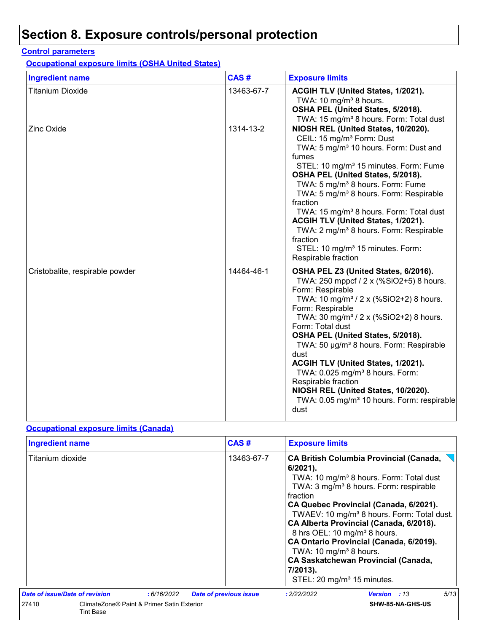# **Section 8. Exposure controls/personal protection**

#### **Control parameters**

**Occupational exposure limits (OSHA United States)**

| <b>Ingredient name</b>          | CAS#       | <b>Exposure limits</b>                                                                                                                                                                                                                                                                                                                                                                                                                                                                                                                                                                       |
|---------------------------------|------------|----------------------------------------------------------------------------------------------------------------------------------------------------------------------------------------------------------------------------------------------------------------------------------------------------------------------------------------------------------------------------------------------------------------------------------------------------------------------------------------------------------------------------------------------------------------------------------------------|
| <b>Titanium Dioxide</b>         | 13463-67-7 | ACGIH TLV (United States, 1/2021).<br>TWA: 10 mg/m <sup>3</sup> 8 hours.<br>OSHA PEL (United States, 5/2018).<br>TWA: 15 mg/m <sup>3</sup> 8 hours. Form: Total dust                                                                                                                                                                                                                                                                                                                                                                                                                         |
| Zinc Oxide                      | 1314-13-2  | NIOSH REL (United States, 10/2020).<br>CEIL: 15 mg/m <sup>3</sup> Form: Dust<br>TWA: 5 mg/m <sup>3</sup> 10 hours. Form: Dust and<br>fumes<br>STEL: 10 mg/m <sup>3</sup> 15 minutes. Form: Fume<br>OSHA PEL (United States, 5/2018).<br>TWA: 5 mg/m <sup>3</sup> 8 hours. Form: Fume<br>TWA: 5 mg/m <sup>3</sup> 8 hours. Form: Respirable<br>fraction<br>TWA: 15 mg/m <sup>3</sup> 8 hours. Form: Total dust<br>ACGIH TLV (United States, 1/2021).<br>TWA: 2 mg/m <sup>3</sup> 8 hours. Form: Respirable<br>fraction<br>STEL: 10 mg/m <sup>3</sup> 15 minutes. Form:<br>Respirable fraction |
| Cristobalite, respirable powder | 14464-46-1 | OSHA PEL Z3 (United States, 6/2016).<br>TWA: 250 mppcf / 2 x (%SiO2+5) 8 hours.<br>Form: Respirable<br>TWA: 10 mg/m <sup>3</sup> / 2 x (%SiO2+2) 8 hours.<br>Form: Respirable<br>TWA: 30 mg/m <sup>3</sup> / 2 x (%SiO2+2) 8 hours.<br>Form: Total dust<br>OSHA PEL (United States, 5/2018).<br>TWA: 50 µg/m <sup>3</sup> 8 hours. Form: Respirable<br>dust<br>ACGIH TLV (United States, 1/2021).<br>TWA: 0.025 mg/m <sup>3</sup> 8 hours. Form:<br>Respirable fraction<br>NIOSH REL (United States, 10/2020).<br>TWA: 0.05 mg/m <sup>3</sup> 10 hours. Form: respirable<br>dust             |

### **Occupational exposure limits (Canada)**

| <b>Ingredient name</b>         | CAS#                                       |                               | <b>Exposure limits</b>                                                                                                                                                                                                                                                                                                                                                                                                                                                                                                                                                 |      |  |  |
|--------------------------------|--------------------------------------------|-------------------------------|------------------------------------------------------------------------------------------------------------------------------------------------------------------------------------------------------------------------------------------------------------------------------------------------------------------------------------------------------------------------------------------------------------------------------------------------------------------------------------------------------------------------------------------------------------------------|------|--|--|
| Titanium dioxide               |                                            | 13463-67-7                    | <b>CA British Columbia Provincial (Canada,</b><br>$6/2021$ ).<br>TWA: 10 mg/m <sup>3</sup> 8 hours. Form: Total dust<br>TWA: 3 mg/m <sup>3</sup> 8 hours. Form: respirable<br>fraction<br>CA Quebec Provincial (Canada, 6/2021).<br>TWAEV: 10 mg/m <sup>3</sup> 8 hours. Form: Total dust.<br>CA Alberta Provincial (Canada, 6/2018).<br>8 hrs OEL: 10 mg/m <sup>3</sup> 8 hours.<br>CA Ontario Provincial (Canada, 6/2019).<br>TWA: 10 mg/m <sup>3</sup> 8 hours.<br><b>CA Saskatchewan Provincial (Canada,</b><br>7/2013).<br>STEL: 20 mg/m <sup>3</sup> 15 minutes. |      |  |  |
| Date of issue/Date of revision | : 6/16/2022                                | <b>Date of previous issue</b> | : 2/22/2022<br><b>Version</b> : 13                                                                                                                                                                                                                                                                                                                                                                                                                                                                                                                                     | 5/13 |  |  |
| 27410<br><b>Tint Base</b>      | ClimateZone® Paint & Primer Satin Exterior |                               | SHW-85-NA-GHS-US                                                                                                                                                                                                                                                                                                                                                                                                                                                                                                                                                       |      |  |  |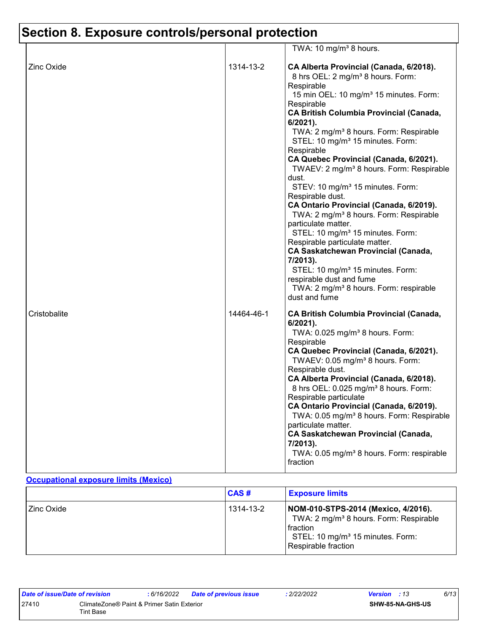# **Section 8. Exposure controls/personal protection**

|                   |            | TWA: 10 mg/m <sup>3</sup> 8 hours.                                                                                                                                                                                                                                                                                                                                                                                                                                                                                                                                                                                                                                                                                                                                                                                                                                                                                                                                 |
|-------------------|------------|--------------------------------------------------------------------------------------------------------------------------------------------------------------------------------------------------------------------------------------------------------------------------------------------------------------------------------------------------------------------------------------------------------------------------------------------------------------------------------------------------------------------------------------------------------------------------------------------------------------------------------------------------------------------------------------------------------------------------------------------------------------------------------------------------------------------------------------------------------------------------------------------------------------------------------------------------------------------|
| <b>Zinc Oxide</b> | 1314-13-2  | CA Alberta Provincial (Canada, 6/2018).<br>8 hrs OEL: 2 mg/m <sup>3</sup> 8 hours. Form:<br>Respirable<br>15 min OEL: 10 mg/m <sup>3</sup> 15 minutes. Form:<br>Respirable<br><b>CA British Columbia Provincial (Canada,</b><br>6/2021).<br>TWA: 2 mg/m <sup>3</sup> 8 hours. Form: Respirable<br>STEL: 10 mg/m <sup>3</sup> 15 minutes. Form:<br>Respirable<br>CA Quebec Provincial (Canada, 6/2021).<br>TWAEV: 2 mg/m <sup>3</sup> 8 hours. Form: Respirable<br>dust.<br>STEV: 10 mg/m <sup>3</sup> 15 minutes. Form:<br>Respirable dust.<br>CA Ontario Provincial (Canada, 6/2019).<br>TWA: 2 mg/m <sup>3</sup> 8 hours. Form: Respirable<br>particulate matter.<br>STEL: 10 mg/m <sup>3</sup> 15 minutes. Form:<br>Respirable particulate matter.<br><b>CA Saskatchewan Provincial (Canada,</b><br>7/2013).<br>STEL: 10 mg/m <sup>3</sup> 15 minutes. Form:<br>respirable dust and fume<br>TWA: 2 mg/m <sup>3</sup> 8 hours. Form: respirable<br>dust and fume |
| Cristobalite      | 14464-46-1 | <b>CA British Columbia Provincial (Canada,</b><br>6/2021).<br>TWA: 0.025 mg/m <sup>3</sup> 8 hours. Form:<br>Respirable<br>CA Quebec Provincial (Canada, 6/2021).<br>TWAEV: 0.05 mg/m <sup>3</sup> 8 hours. Form:<br>Respirable dust.<br>CA Alberta Provincial (Canada, 6/2018).<br>8 hrs OEL: 0.025 mg/m <sup>3</sup> 8 hours. Form:<br>Respirable particulate<br>CA Ontario Provincial (Canada, 6/2019).<br>TWA: 0.05 mg/m <sup>3</sup> 8 hours. Form: Respirable<br>particulate matter.<br><b>CA Saskatchewan Provincial (Canada,</b><br>7/2013).<br>TWA: 0.05 mg/m <sup>3</sup> 8 hours. Form: respirable<br>fraction                                                                                                                                                                                                                                                                                                                                          |

### **Occupational exposure limits (Mexico)**

|              | CAS#      | <b>Exposure limits</b>                                                                                                                                                         |
|--------------|-----------|--------------------------------------------------------------------------------------------------------------------------------------------------------------------------------|
| l Zinc Oxide | 1314-13-2 | NOM-010-STPS-2014 (Mexico, 4/2016).<br>TWA: 2 mg/m <sup>3</sup> 8 hours. Form: Respirable<br>I fraction<br>STEL: 10 mg/m <sup>3</sup> 15 minutes. Form:<br>Respirable fraction |

| Date of issue/Date of revision |                                                         | : 6/16/2022 | Date of previous issue | : 2/22/2022 | <b>Version</b> : 13 |                         | 6/13 |
|--------------------------------|---------------------------------------------------------|-------------|------------------------|-------------|---------------------|-------------------------|------|
| 27410                          | ClimateZone® Paint & Primer Satin Exterior<br>Tint Base |             |                        |             |                     | <b>SHW-85-NA-GHS-US</b> |      |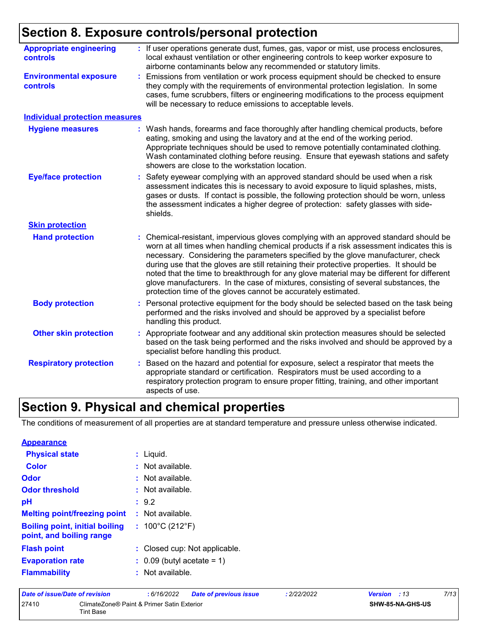# **Section 8. Exposure controls/personal protection**

| <b>Appropriate engineering</b><br><b>controls</b> | : If user operations generate dust, fumes, gas, vapor or mist, use process enclosures,<br>local exhaust ventilation or other engineering controls to keep worker exposure to<br>airborne contaminants below any recommended or statutory limits.                                                                                                                                                                                                                                                                                                                                                                     |
|---------------------------------------------------|----------------------------------------------------------------------------------------------------------------------------------------------------------------------------------------------------------------------------------------------------------------------------------------------------------------------------------------------------------------------------------------------------------------------------------------------------------------------------------------------------------------------------------------------------------------------------------------------------------------------|
| <b>Environmental exposure</b><br><b>controls</b>  | Emissions from ventilation or work process equipment should be checked to ensure<br>they comply with the requirements of environmental protection legislation. In some<br>cases, fume scrubbers, filters or engineering modifications to the process equipment<br>will be necessary to reduce emissions to acceptable levels.                                                                                                                                                                                                                                                                                        |
| <b>Individual protection measures</b>             |                                                                                                                                                                                                                                                                                                                                                                                                                                                                                                                                                                                                                      |
| <b>Hygiene measures</b>                           | Wash hands, forearms and face thoroughly after handling chemical products, before<br>eating, smoking and using the lavatory and at the end of the working period.<br>Appropriate techniques should be used to remove potentially contaminated clothing.<br>Wash contaminated clothing before reusing. Ensure that eyewash stations and safety<br>showers are close to the workstation location.                                                                                                                                                                                                                      |
| <b>Eye/face protection</b>                        | Safety eyewear complying with an approved standard should be used when a risk<br>assessment indicates this is necessary to avoid exposure to liquid splashes, mists,<br>gases or dusts. If contact is possible, the following protection should be worn, unless<br>the assessment indicates a higher degree of protection: safety glasses with side-<br>shields.                                                                                                                                                                                                                                                     |
| <b>Skin protection</b>                            |                                                                                                                                                                                                                                                                                                                                                                                                                                                                                                                                                                                                                      |
| <b>Hand protection</b>                            | Chemical-resistant, impervious gloves complying with an approved standard should be<br>worn at all times when handling chemical products if a risk assessment indicates this is<br>necessary. Considering the parameters specified by the glove manufacturer, check<br>during use that the gloves are still retaining their protective properties. It should be<br>noted that the time to breakthrough for any glove material may be different for different<br>glove manufacturers. In the case of mixtures, consisting of several substances, the<br>protection time of the gloves cannot be accurately estimated. |
| <b>Body protection</b>                            | Personal protective equipment for the body should be selected based on the task being<br>performed and the risks involved and should be approved by a specialist before<br>handling this product.                                                                                                                                                                                                                                                                                                                                                                                                                    |
| <b>Other skin protection</b>                      | Appropriate footwear and any additional skin protection measures should be selected<br>based on the task being performed and the risks involved and should be approved by a<br>specialist before handling this product.                                                                                                                                                                                                                                                                                                                                                                                              |
| <b>Respiratory protection</b>                     | Based on the hazard and potential for exposure, select a respirator that meets the<br>appropriate standard or certification. Respirators must be used according to a<br>respiratory protection program to ensure proper fitting, training, and other important<br>aspects of use.                                                                                                                                                                                                                                                                                                                                    |

### **Section 9. Physical and chemical properties**

The conditions of measurement of all properties are at standard temperature and pressure unless otherwise indicated.

| <b>Appearance</b>                                                 |                                       |
|-------------------------------------------------------------------|---------------------------------------|
| <b>Physical state</b>                                             | : Liquid.                             |
| Color                                                             | $:$ Not available.                    |
| Odor                                                              | $:$ Not available.                    |
| <b>Odor threshold</b>                                             | $:$ Not available.                    |
| pH                                                                | : 9.2                                 |
| <b>Melting point/freezing point</b>                               | $:$ Not available.                    |
| <b>Boiling point, initial boiling</b><br>point, and boiling range | : $100^{\circ}$ C (212 $^{\circ}$ F)  |
| <b>Flash point</b>                                                | : Closed cup: Not applicable.         |
| <b>Evaporation rate</b>                                           | $\therefore$ 0.09 (butyl acetate = 1) |
| <b>Flammability</b>                                               | $:$ Not available.                    |

| Date of issue/Date of revision |                                                         | : 6/16/2022 | <b>Date of previous issue</b> | : 2/22/2022 | <b>Version</b> : 13     | 7/13 |
|--------------------------------|---------------------------------------------------------|-------------|-------------------------------|-------------|-------------------------|------|
| 27410                          | ClimateZone® Paint & Primer Satin Exterior<br>Tint Base |             |                               |             | <b>SHW-85-NA-GHS-US</b> |      |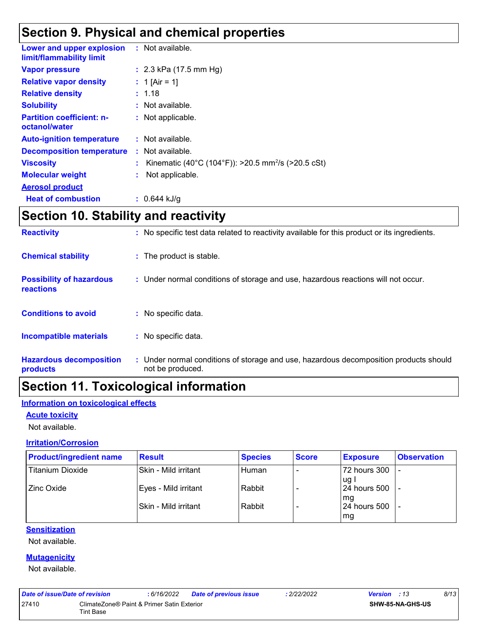### **Section 9. Physical and chemical properties**

| Lower and upper explosion<br>limit/flammability limit | : Not available.                                               |
|-------------------------------------------------------|----------------------------------------------------------------|
| <b>Vapor pressure</b>                                 | : $2.3$ kPa (17.5 mm Hg)                                       |
| <b>Relative vapor density</b>                         | : 1 [Air = 1]                                                  |
| <b>Relative density</b>                               | : 1.18                                                         |
| <b>Solubility</b>                                     | : Not available.                                               |
| <b>Partition coefficient: n-</b><br>octanol/water     | : Not applicable.                                              |
| <b>Auto-ignition temperature</b>                      | $:$ Not available.                                             |
| <b>Decomposition temperature</b>                      | $:$ Not available.                                             |
| <b>Viscosity</b>                                      | Kinematic (40°C (104°F)): >20.5 mm <sup>2</sup> /s (>20.5 cSt) |
| <b>Molecular weight</b>                               | Not applicable.                                                |
| <b>Aerosol product</b>                                |                                                                |
| <b>Heat of combustion</b>                             | : $0.644$ kJ/g                                                 |

### **Section 10. Stability and reactivity**

| <b>Reactivity</b>                            | : No specific test data related to reactivity available for this product or its ingredients.              |
|----------------------------------------------|-----------------------------------------------------------------------------------------------------------|
| <b>Chemical stability</b>                    | : The product is stable.                                                                                  |
| <b>Possibility of hazardous</b><br>reactions | : Under normal conditions of storage and use, hazardous reactions will not occur.                         |
| <b>Conditions to avoid</b>                   | : No specific data.                                                                                       |
| Incompatible materials                       | : No specific data.                                                                                       |
| <b>Hazardous decomposition</b><br>products   | : Under normal conditions of storage and use, hazardous decomposition products should<br>not be produced. |

### **Section 11. Toxicological information**

### **Information on toxicological effects**

#### **Acute toxicity**

Not available.

#### **Irritation/Corrosion**

| <b>Product/ingredient name</b> | <b>Result</b>        | <b>Species</b> | <b>Score</b> | <b>Exposure</b>       | <b>Observation</b> |
|--------------------------------|----------------------|----------------|--------------|-----------------------|--------------------|
| Titanium Dioxide               | Skin - Mild irritant | Human          |              | 72 hours 300          |                    |
| Zinc Oxide                     | Eyes - Mild irritant | Rabbit         |              | lug l<br>24 hours 500 |                    |
|                                | Skin - Mild irritant | Rabbit         |              | l ma<br>24 hours 500  |                    |
|                                |                      |                |              | mg                    |                    |

#### **Sensitization**

Not available.

#### **Mutagenicity**

Not available.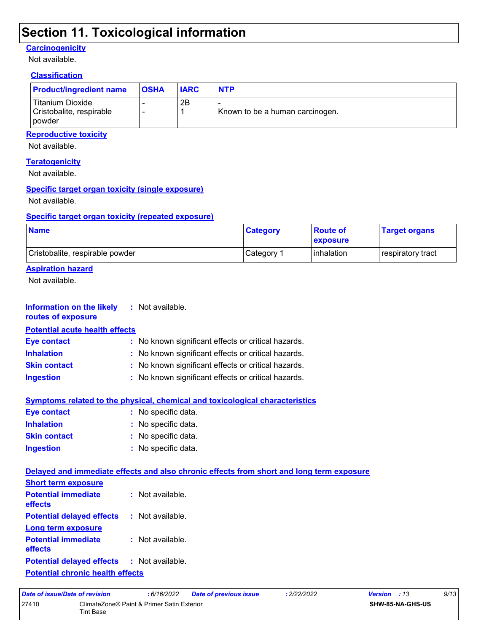### **Section 11. Toxicological information**

#### **Carcinogenicity**

Not available.

### **Classification**

| <b>Product/ingredient name</b>                                    | <b>OSHA</b> | <b>IARC</b> | <b>NTP</b>                      |
|-------------------------------------------------------------------|-------------|-------------|---------------------------------|
| l Titanium Dioxide<br>Cristobalite, respirable<br><b>I</b> powder |             | 2B          | Known to be a human carcinogen. |

#### **Reproductive toxicity**

Not available.

#### **Teratogenicity**

Not available.

#### **Specific target organ toxicity (single exposure)**

Not available.

#### **Specific target organ toxicity (repeated exposure)**

| <b>Name</b>                     | <b>Category</b> | <b>Route of</b><br><b>Lexposure</b> | <b>Target organs</b>     |
|---------------------------------|-----------------|-------------------------------------|--------------------------|
| Cristobalite, respirable powder | Category 1      | <b>l</b> inhalation                 | <b>respiratory tract</b> |

### **Aspiration hazard**

Not available.

| <b>Information on the likely</b><br>routes of exposure | : Not available.                                                                         |
|--------------------------------------------------------|------------------------------------------------------------------------------------------|
| <b>Potential acute health effects</b>                  |                                                                                          |
| <b>Eye contact</b>                                     | : No known significant effects or critical hazards.                                      |
| <b>Inhalation</b>                                      | : No known significant effects or critical hazards.                                      |
| <b>Skin contact</b>                                    | : No known significant effects or critical hazards.                                      |
| <b>Ingestion</b>                                       | : No known significant effects or critical hazards.                                      |
|                                                        | <b>Symptoms related to the physical, chemical and toxicological characteristics</b>      |
| <b>Eye contact</b>                                     | : No specific data.                                                                      |
| <b>Inhalation</b>                                      | : No specific data.                                                                      |
| <b>Skin contact</b>                                    | : No specific data.                                                                      |
| <b>Ingestion</b>                                       | : No specific data.                                                                      |
|                                                        | Delayed and immediate effects and also chronic effects from short and long term exposure |
| <b>Short term exposure</b>                             |                                                                                          |
| <b>Potential immediate</b><br>effects                  | : Not available.                                                                         |
| <b>Potential delayed effects</b>                       | $:$ Not available.                                                                       |
| <b>Long term exposure</b>                              |                                                                                          |
| <b>Potential immediate</b><br>effects                  | : Not available.                                                                         |
| <b>Potential delayed effects</b>                       | : Not available.                                                                         |
| <b>Potential chronic health effects</b>                |                                                                                          |

| Date of issue/Date of revision |           | : 6/16/2022                                | Date of previous issue | : 2/22/2022 | <b>Version</b> : 13     | 9/13 |
|--------------------------------|-----------|--------------------------------------------|------------------------|-------------|-------------------------|------|
| 27410                          | Tint Base | ClimateZone® Paint & Primer Satin Exterior |                        |             | <b>SHW-85-NA-GHS-US</b> |      |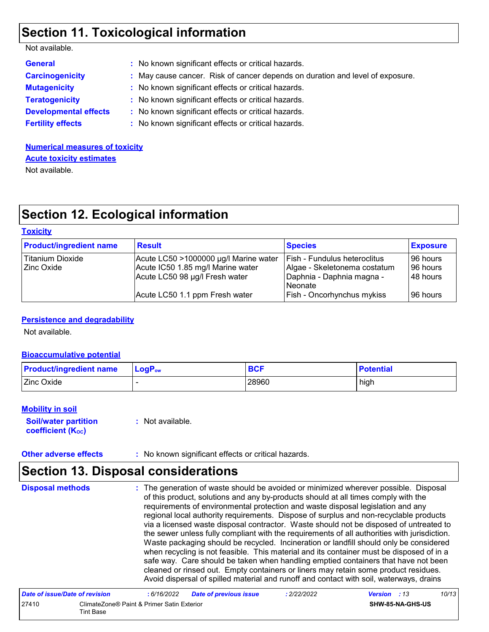### **Section 11. Toxicological information**

| Not available. |  |
|----------------|--|
|----------------|--|

| <b>General</b>               | : No known significant effects or critical hazards.                           |
|------------------------------|-------------------------------------------------------------------------------|
| <b>Carcinogenicity</b>       | : May cause cancer. Risk of cancer depends on duration and level of exposure. |
| <b>Mutagenicity</b>          | : No known significant effects or critical hazards.                           |
| <b>Teratogenicity</b>        | : No known significant effects or critical hazards.                           |
| <b>Developmental effects</b> | : No known significant effects or critical hazards.                           |
| <b>Fertility effects</b>     | : No known significant effects or critical hazards.                           |

**Numerical measures of toxicity** Not available. **Acute toxicity estimates**

### **Section 12. Ecological information**

#### **Toxicity**

| <b>Product/ingredient name</b> | <b>Result</b>                         | <b>Species</b>                      | <b>Exposure</b> |
|--------------------------------|---------------------------------------|-------------------------------------|-----------------|
| Titanium Dioxide               | Acute LC50 >1000000 µg/l Marine water | <b>Fish - Fundulus heteroclitus</b> | 196 hours       |
| <b>Zinc Oxide</b>              | Acute IC50 1.85 mg/l Marine water     | Algae - Skeletonema costatum        | 96 hours        |
|                                | Acute LC50 98 µg/l Fresh water        | Daphnia - Daphnia magna -           | 148 hours       |
|                                |                                       | l Neonate                           |                 |
|                                | Acute LC50 1.1 ppm Fresh water        | <b>Fish - Oncorhynchus mykiss</b>   | 96 hours        |

#### **Persistence and degradability**

Not available.

#### **Bioaccumulative potential**

| <b>Product/ingredient name</b> | ∣ LoqP <sub>ow</sub> | <b>BCF</b> | <b>Potential</b> |
|--------------------------------|----------------------|------------|------------------|
| Zinc Oxide                     |                      | 28960      | high             |

#### **Mobility in soil**

**Soil/water partition coefficient (KOC) :** Not available.

**Other adverse effects :** No known significant effects or critical hazards.

### **Section 13. Disposal considerations**

The generation of waste should be avoided or minimized wherever possible. Disposal of this product, solutions and any by-products should at all times comply with the requirements of environmental protection and waste disposal legislation and any regional local authority requirements. Dispose of surplus and non-recyclable products via a licensed waste disposal contractor. Waste should not be disposed of untreated to the sewer unless fully compliant with the requirements of all authorities with jurisdiction. Waste packaging should be recycled. Incineration or landfill should only be considered when recycling is not feasible. This material and its container must be disposed of in a safe way. Care should be taken when handling emptied containers that have not been cleaned or rinsed out. Empty containers or liners may retain some product residues. Avoid dispersal of spilled material and runoff and contact with soil, waterways, drains **Disposal methods :**

| Date of issue/Date of revision |                                                         | : 6/16/2022 | <b>Date of previous issue</b> | : 2/22/2022 | <b>Version</b> : 13 |                         | 10/13 |
|--------------------------------|---------------------------------------------------------|-------------|-------------------------------|-------------|---------------------|-------------------------|-------|
| 27410                          | ClimateZone® Paint & Primer Satin Exterior<br>Tint Base |             |                               |             |                     | <b>SHW-85-NA-GHS-US</b> |       |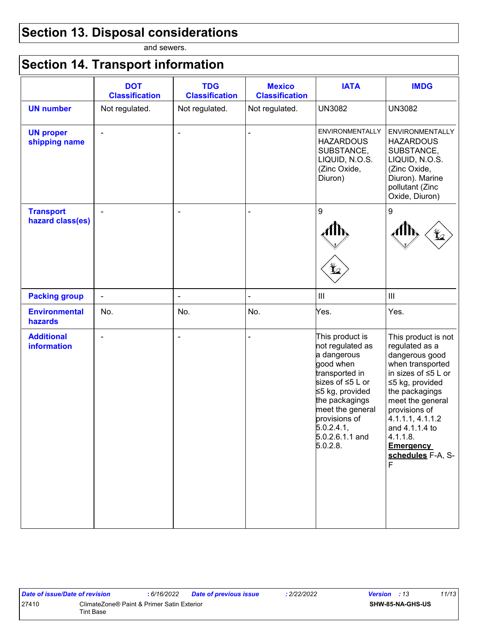### **Section 13. Disposal considerations**

and sewers.

# **Section 14. Transport information**

|                                      | <b>DOT</b><br><b>Classification</b> | <b>TDG</b><br><b>Classification</b> | <b>Mexico</b><br><b>Classification</b> | <b>IATA</b>                                                                                                                                                                                                                  | <b>IMDG</b>                                                                                                                                                                                                                                                                                                                                         |
|--------------------------------------|-------------------------------------|-------------------------------------|----------------------------------------|------------------------------------------------------------------------------------------------------------------------------------------------------------------------------------------------------------------------------|-----------------------------------------------------------------------------------------------------------------------------------------------------------------------------------------------------------------------------------------------------------------------------------------------------------------------------------------------------|
| <b>UN number</b>                     | Not regulated.                      | Not regulated.                      | Not regulated.                         | <b>UN3082</b>                                                                                                                                                                                                                | <b>UN3082</b>                                                                                                                                                                                                                                                                                                                                       |
| <b>UN proper</b><br>shipping name    | $\blacksquare$                      | $\overline{\phantom{a}}$            |                                        | <b>ENVIRONMENTALLY</b><br><b>HAZARDOUS</b><br>SUBSTANCE,<br>LIQUID, N.O.S.<br>(Zinc Oxide,<br>Diuron)                                                                                                                        | <b>HAZARDOUS</b><br>SUBSTANCE,<br>LIQUID, N.O.S.<br>(Zinc Oxide,<br>Diuron). Marine<br>pollutant (Zinc<br>Oxide, Diuron)                                                                                                                                                                                                                            |
| <b>Transport</b><br>hazard class(es) | $\blacksquare$                      | $\overline{\phantom{a}}$            |                                        | 9<br>⊻                                                                                                                                                                                                                       | 9<br>$\bigoplus$                                                                                                                                                                                                                                                                                                                                    |
| <b>Packing group</b>                 | $\blacksquare$                      | $\blacksquare$                      |                                        | $\ensuremath{\mathsf{III}}\xspace$                                                                                                                                                                                           | <b>ENVIRONMENTALLY</b><br>$\mathop{\rm III}\nolimits$<br>Yes.<br>This product is not<br>regulated as a<br>dangerous good<br>when transported<br>in sizes of $\leq$ 5 L or<br>≤5 kg, provided<br>the packagings<br>meet the general<br>provisions of<br>4.1.1.1, 4.1.1.2<br>and 4.1.1.4 to<br>4.1.1.8.<br><b>Emergency</b><br>schedules F-A, S-<br>E |
| <b>Environmental</b><br>hazards      | No.                                 | No.                                 | No.                                    | Yes.                                                                                                                                                                                                                         |                                                                                                                                                                                                                                                                                                                                                     |
| <b>Additional</b><br>information     | $\blacksquare$                      | $\blacksquare$                      |                                        | This product is<br>not regulated as<br>a dangerous<br>good when<br>transported in<br>sizes of ≤5 L or<br>≤5 kg, provided<br>the packagings<br>meet the general<br>provisions of<br>5.0.2.4.1,<br>5.0.2.6.1.1 and<br>5.0.2.8. |                                                                                                                                                                                                                                                                                                                                                     |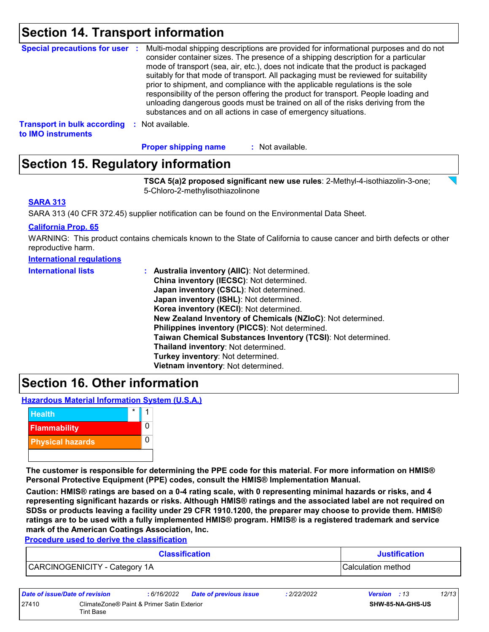### **Section 14. Transport information**

| <b>Special precautions for user :</b>                    |    | Multi-modal shipping descriptions are provided for informational purposes and do not<br>consider container sizes. The presence of a shipping description for a particular<br>mode of transport (sea, air, etc.), does not indicate that the product is packaged<br>suitably for that mode of transport. All packaging must be reviewed for suitability<br>prior to shipment, and compliance with the applicable regulations is the sole<br>responsibility of the person offering the product for transport. People loading and<br>unloading dangerous goods must be trained on all of the risks deriving from the<br>substances and on all actions in case of emergency situations. |
|----------------------------------------------------------|----|-------------------------------------------------------------------------------------------------------------------------------------------------------------------------------------------------------------------------------------------------------------------------------------------------------------------------------------------------------------------------------------------------------------------------------------------------------------------------------------------------------------------------------------------------------------------------------------------------------------------------------------------------------------------------------------|
| <b>Transport in bulk according</b><br>to IMO instruments | ж. | Not available.                                                                                                                                                                                                                                                                                                                                                                                                                                                                                                                                                                                                                                                                      |

: Not available. **Proper shipping name :**

### **Section 15. Regulatory information**

**TSCA 5(a)2 proposed significant new use rules**: 2-Methyl-4-isothiazolin-3-one; 5-Chloro-2-methylisothiazolinone

#### **SARA 313**

SARA 313 (40 CFR 372.45) supplier notification can be found on the Environmental Data Sheet.

#### **California Prop. 65**

WARNING: This product contains chemicals known to the State of California to cause cancer and birth defects or other reproductive harm.

| International regulations |
|---------------------------|
|---------------------------|

| <b>International lists</b> | <b>Australia inventory (AllC): Not determined.</b>           |  |  |  |  |
|----------------------------|--------------------------------------------------------------|--|--|--|--|
|                            | China inventory (IECSC): Not determined.                     |  |  |  |  |
|                            | Japan inventory (CSCL): Not determined.                      |  |  |  |  |
|                            | Japan inventory (ISHL): Not determined.                      |  |  |  |  |
|                            | Korea inventory (KECI): Not determined.                      |  |  |  |  |
|                            | New Zealand Inventory of Chemicals (NZIoC): Not determined.  |  |  |  |  |
|                            | Philippines inventory (PICCS): Not determined.               |  |  |  |  |
|                            | Taiwan Chemical Substances Inventory (TCSI): Not determined. |  |  |  |  |
|                            | Thailand inventory: Not determined.                          |  |  |  |  |
|                            | Turkey inventory: Not determined.                            |  |  |  |  |
|                            | Vietnam inventory: Not determined.                           |  |  |  |  |

### **Section 16. Other information**

**Hazardous Material Information System (U.S.A.)**



**The customer is responsible for determining the PPE code for this material. For more information on HMIS® Personal Protective Equipment (PPE) codes, consult the HMIS® Implementation Manual.**

**Caution: HMIS® ratings are based on a 0-4 rating scale, with 0 representing minimal hazards or risks, and 4 representing significant hazards or risks. Although HMIS® ratings and the associated label are not required on SDSs or products leaving a facility under 29 CFR 1910.1200, the preparer may choose to provide them. HMIS® ratings are to be used with a fully implemented HMIS® program. HMIS® is a registered trademark and service mark of the American Coatings Association, Inc.**

**Procedure used to derive the classification**

| <b>Classification</b>         | <b>Justification</b> |
|-------------------------------|----------------------|
| CARCINOGENICITY - Category 1A | Calculation method   |

| Date of issue/Date of revision |                                                                | : 6/16/2022 | <b>Date of previous issue</b> | : 2/22/2022 | <b>Version</b> : 13 |                         | 12/13 |
|--------------------------------|----------------------------------------------------------------|-------------|-------------------------------|-------------|---------------------|-------------------------|-------|
| 27410                          | ClimateZone® Paint & Primer Satin Exterior<br><b>Tint Base</b> |             |                               |             |                     | <b>SHW-85-NA-GHS-US</b> |       |